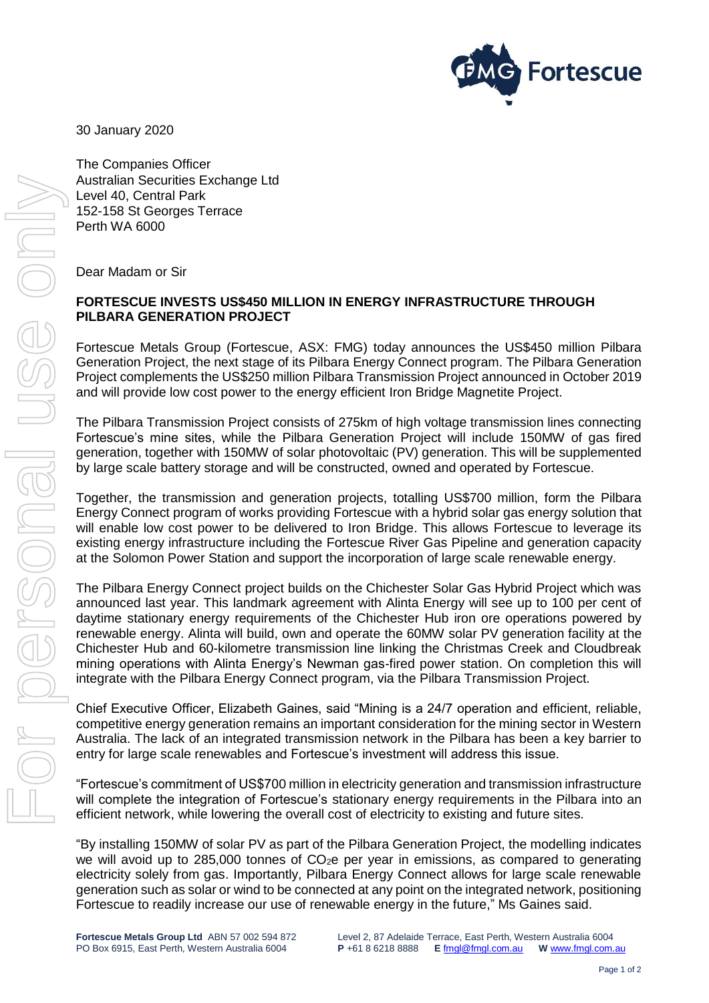

30 January 2020

The Companies Officer Australian Securities Exchange Ltd Level 40, Central Park 152-158 St Georges Terrace Perth WA 6000

Dear Madam or Sir

# **FORTESCUE INVESTS US\$450 MILLION IN ENERGY INFRASTRUCTURE THROUGH PILBARA GENERATION PROJECT**

Fortescue Metals Group (Fortescue, ASX: FMG) today announces the US\$450 million Pilbara Generation Project, the next stage of its Pilbara Energy Connect program. The Pilbara Generation Project complements the US\$250 million Pilbara Transmission Project announced in October 2019 and will provide low cost power to the energy efficient Iron Bridge Magnetite Project.

The Pilbara Transmission Project consists of 275km of high voltage transmission lines connecting Fortescue's mine sites, while the Pilbara Generation Project will include 150MW of gas fired generation, together with 150MW of solar photovoltaic (PV) generation. This will be supplemented by large scale battery storage and will be constructed, owned and operated by Fortescue.

Together, the transmission and generation projects, totalling US\$700 million, form the Pilbara Energy Connect program of works providing Fortescue with a hybrid solar gas energy solution that will enable low cost power to be delivered to Iron Bridge. This allows Fortescue to leverage its existing energy infrastructure including the Fortescue River Gas Pipeline and generation capacity at the Solomon Power Station and support the incorporation of large scale renewable energy.

The Pilbara Energy Connect project builds on the Chichester Solar Gas Hybrid Project which was announced last year. This landmark agreement with Alinta Energy will see up to 100 per cent of daytime stationary energy requirements of the Chichester Hub iron ore operations powered by renewable energy. Alinta will build, own and operate the 60MW solar PV generation facility at the Chichester Hub and 60-kilometre transmission line linking the Christmas Creek and Cloudbreak mining operations with Alinta Energy's Newman gas-fired power station. On completion this will integrate with the Pilbara Energy Connect program, via the Pilbara Transmission Project.

Chief Executive Officer, Elizabeth Gaines, said "Mining is a 24/7 operation and efficient, reliable, competitive energy generation remains an important consideration for the mining sector in Western Australia. The lack of an integrated transmission network in the Pilbara has been a key barrier to entry for large scale renewables and Fortescue's investment will address this issue.

"Fortescue's commitment of US\$700 million in electricity generation and transmission infrastructure will complete the integration of Fortescue's stationary energy requirements in the Pilbara into an efficient network, while lowering the overall cost of electricity to existing and future sites.

"By installing 150MW of solar PV as part of the Pilbara Generation Project, the modelling indicates we will avoid up to 285,000 tonnes of  $CO<sub>2</sub>e$  per year in emissions, as compared to generating electricity solely from gas. Importantly, Pilbara Energy Connect allows for large scale renewable generation such as solar or wind to be connected at any point on the integrated network, positioning Fortescue to readily increase our use of renewable energy in the future," Ms Gaines said.